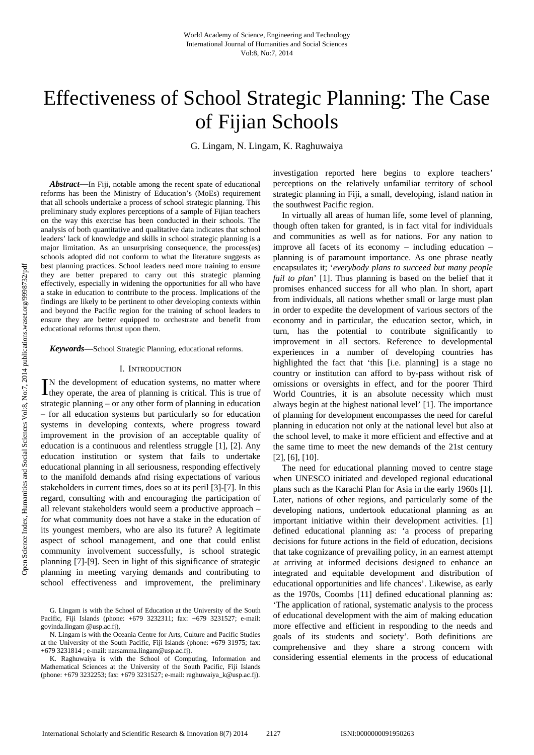# Effectiveness of School Strategic Planning: The Case of Fijian Schools

G. Lingam, N. Lingam, K. Raghuwaiya

Abstract—In Fiji, notable among the recent spate of educational reforms has been the Ministry of Education's (MoEs) requirement that all schools undertake a process of school strategic planning. This preliminary study explores perceptions of a sample of Fijian teachers on the way this exercise has been conducted in their schools. The analysis of both quantitative and qualitative data indicates that school leaders' lack of knowledge and skills in school strategic planning is a major limitation. As an unsurprising consequence, the process(es) schools adopted did not conform to what the literature suggests as best planning practices. School leaders need more training to ensure they are better prepared to carry out this strategic planning effectively, especially in widening the opportunities for all who have a stake in education to contribute to the process. Implications of the findings are likely to be pertinent to other developing contexts within and beyond the Pacific region for the training of school leaders to ensure they are better equipped to orchestrate and benefit from educational reforms thrust upon them.

*Keywords***—**School Strategic Planning, educational reforms.

#### I. INTRODUCTION

N the development of education systems, no matter where IN the development of education systems, no matter where they operate, the area of planning is critical. This is true of strategic planning – or any other form of planning in education – for all education systems but particularly so for education systems in developing contexts, where progress toward improvement in the provision of an acceptable quality of education is a continuous and relentless struggle [1], [2]. Any education institution or system that fails to undertake educational planning in all seriousness, responding effectively to the manifold demands afnd rising expectations of various stakeholders in current times, does so at its peril [3]-[7]. In this regard, consulting with and encouraging the participation of all relevant stakeholders would seem a productive approach – for what community does not have a stake in the education of its youngest members, who are also its future? A legitimate aspect of school management, and one that could enlist community involvement successfully, is school strategic planning [7]-[9]. Seen in light of this significance of strategic planning in meeting varying demands and contributing to school effectiveness and improvement, the preliminary

investigation reported here begins to explore teachers' perceptions on the relatively unfamiliar territory of school strategic planning in Fiji, a small, developing, island nation in the southwest Pacific region.

In virtually all areas of human life, some level of planning, though often taken for granted, is in fact vital for individuals and communities as well as for nations. For any nation to improve all facets of its economy – including education – planning is of paramount importance. As one phrase neatly encapsulates it; '*everybody plans to succeed but many people fail to plan*' [1]. Thus planning is based on the belief that it promises enhanced success for all who plan. In short, apart from individuals, all nations whether small or large must plan in order to expedite the development of various sectors of the economy and in particular, the education sector, which, in turn, has the potential to contribute significantly to improvement in all sectors. Reference to developmental experiences in a number of developing countries has highlighted the fact that 'this [i.e. planning] is a stage no country or institution can afford to by-pass without risk of omissions or oversights in effect, and for the poorer Third World Countries, it is an absolute necessity which must always begin at the highest national level' [1]. The importance of planning for development encompasses the need for careful planning in education not only at the national level but also at the school level, to make it more efficient and effective and at the same time to meet the new demands of the 21st century [2], [6], [10].

The need for educational planning moved to centre stage when UNESCO initiated and developed regional educational plans such as the Karachi Plan for Asia in the early 1960s [1]. Later, nations of other regions, and particularly some of the developing nations, undertook educational planning as an important initiative within their development activities. [1] defined educational planning as: 'a process of preparing decisions for future actions in the field of education, decisions that take cognizance of prevailing policy, in an earnest attempt at arriving at informed decisions designed to enhance an integrated and equitable development and distribution of educational opportunities and life chances'. Likewise, as early as the 1970s, Coombs [11] defined educational planning as: 'The application of rational, systematic analysis to the process of educational development with the aim of making education more effective and efficient in responding to the needs and goals of its students and society'*.* Both definitions are comprehensive and they share a strong concern with considering essential elements in the process of educational

G. Lingam is with the School of Education at the University of the South Pacific, Fiji Islands (phone: +679 3232311; fax: +679 3231527; e-mail: govinda.lingam @usp.ac.fj),

N. Lingam is with the Oceania Centre for Arts, Culture and Pacific Studies at the University of the South Pacific, Fiji Islands (phone: +679 31975; fax: +679 3231814 ; e-mail: narsamma.lingam@usp.ac.fj).

K. Raghuwaiya is with the School of Computing, Information and Mathematical Sciences at the University of the South Pacific, Fiji Islands (phone: +679 3232253; fax: +679 3231527; e-mail: raghuwaiya\_k@usp.ac.fj).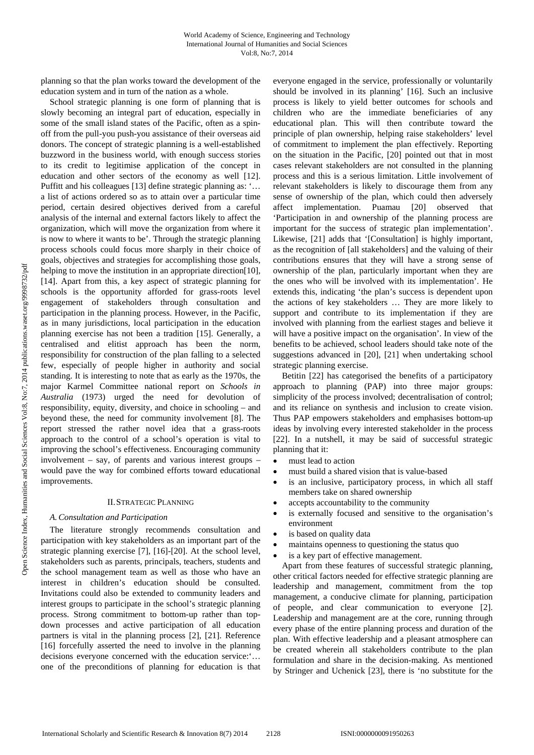planning so that the plan works toward the development of the education system and in turn of the nation as a whole.

School strategic planning is one form of planning that is slowly becoming an integral part of education, especially in some of the small island states of the Pacific, often as a spinoff from the pull-you push-you assistance of their overseas aid donors. The concept of strategic planning is a well-established buzzword in the business world, with enough success stories to its credit to legitimise application of the concept in education and other sectors of the economy as well [12]. Puffitt and his colleagues [13] define strategic planning as: '… a list of actions ordered so as to attain over a particular time period, certain desired objectives derived from a careful analysis of the internal and external factors likely to affect the organization, which will move the organization from where it is now to where it wants to be'. Through the strategic planning process schools could focus more sharply in their choice of goals, objectives and strategies for accomplishing those goals, helping to move the institution in an appropriate direction[10], [14]. Apart from this, a key aspect of strategic planning for schools is the opportunity afforded for grass-roots level engagement of stakeholders through consultation and participation in the planning process. However, in the Pacific, as in many jurisdictions, local participation in the education planning exercise has not been a tradition [15]. Generally, a centralised and elitist approach has been the norm, responsibility for construction of the plan falling to a selected few, especially of people higher in authority and social standing. It is interesting to note that as early as the 1970s, the major Karmel Committee national report on *Schools in Australia* (1973) urged the need for devolution of responsibility, equity, diversity, and choice in schooling – and beyond these, the need for community involvement [8]. The report stressed the rather novel idea that a grass-roots approach to the control of a school's operation is vital to improving the school's effectiveness. Encouraging community involvement – say, of parents and various interest groups – would pave the way for combined efforts toward educational improvements.

#### II.STRATEGIC PLANNING

## *A.Consultation and Participation*

The literature strongly recommends consultation and participation with key stakeholders as an important part of the strategic planning exercise [7], [16]-[20]. At the school level, stakeholders such as parents, principals, teachers, students and the school management team as well as those who have an interest in children's education should be consulted. Invitations could also be extended to community leaders and interest groups to participate in the school's strategic planning process. Strong commitment to bottom-up rather than topdown processes and active participation of all education partners is vital in the planning process [2], [21]. Reference [16] forcefully asserted the need to involve in the planning decisions everyone concerned with the education service:'… one of the preconditions of planning for education is that

everyone engaged in the service, professionally or voluntarily should be involved in its planning' [16]. Such an inclusive process is likely to yield better outcomes for schools and children who are the immediate beneficiaries of any educational plan. This will then contribute toward the principle of plan ownership, helping raise stakeholders' level of commitment to implement the plan effectively. Reporting on the situation in the Pacific, [20] pointed out that in most cases relevant stakeholders are not consulted in the planning process and this is a serious limitation. Little involvement of relevant stakeholders is likely to discourage them from any sense of ownership of the plan, which could then adversely affect implementation. Puamau [20] observed that 'Participation in and ownership of the planning process are important for the success of strategic plan implementation'. Likewise, [21] adds that '[Consultation] is highly important, as the recognition of [all stakeholders] and the valuing of their contributions ensures that they will have a strong sense of ownership of the plan, particularly important when they are the ones who will be involved with its implementation'. He extends this, indicating 'the plan's success is dependent upon the actions of key stakeholders … They are more likely to support and contribute to its implementation if they are involved with planning from the earliest stages and believe it will have a positive impact on the organisation'. In view of the benefits to be achieved, school leaders should take note of the suggestions advanced in [20], [21] when undertaking school strategic planning exercise.

Betitin [22] has categorised the benefits of a participatory approach to planning (PAP) into three major groups: simplicity of the process involved; decentralisation of control; and its reliance on synthesis and inclusion to create vision. Thus PAP empowers stakeholders and emphasises bottom-up ideas by involving every interested stakeholder in the process [22]. In a nutshell, it may be said of successful strategic planning that it:

- must lead to action
- must build a shared vision that is value-based
- is an inclusive, participatory process, in which all staff members take on shared ownership
- accepts accountability to the community
- is externally focused and sensitive to the organisation's environment
- is based on quality data
- maintains openness to questioning the status quo
- is a key part of effective management.

Apart from these features of successful strategic planning, other critical factors needed for effective strategic planning are leadership and management, commitment from the top management, a conducive climate for planning, participation of people, and clear communication to everyone [2]. Leadership and management are at the core, running through every phase of the entire planning process and duration of the plan. With effective leadership and a pleasant atmosphere can be created wherein all stakeholders contribute to the plan formulation and share in the decision-making. As mentioned by Stringer and Uchenick [23], there is 'no substitute for the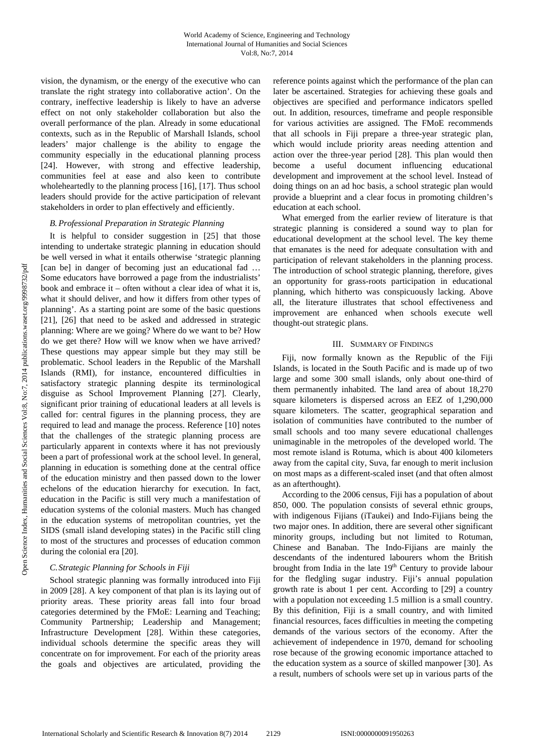vision, the dynamism, or the energy of the executive who can translate the right strategy into collaborative action'. On the contrary, ineffective leadership is likely to have an adverse effect on not only stakeholder collaboration but also the overall performance of the plan. Already in some educational contexts, such as in the Republic of Marshall Islands, school leaders' major challenge is the ability to engage the community especially in the educational planning process [24]. However, with strong and effective leadership, communities feel at ease and also keen to contribute wholeheartedly to the planning process [16], [17]. Thus school leaders should provide for the active participation of relevant stakeholders in order to plan effectively and efficiently.

# *B. Professional Preparation in Strategic Planning*

It is helpful to consider suggestion in [25] that those intending to undertake strategic planning in education should be well versed in what it entails otherwise 'strategic planning [can be] in danger of becoming just an educational fad ... Some educators have borrowed a page from the industrialists' book and embrace it – often without a clear idea of what it is, what it should deliver, and how it differs from other types of planning'. As a starting point are some of the basic questions [21], [26] that need to be asked and addressed in strategic planning: Where are we going? Where do we want to be? How do we get there? How will we know when we have arrived? These questions may appear simple but they may still be problematic. School leaders in the Republic of the Marshall Islands (RMI), for instance, encountered difficulties in satisfactory strategic planning despite its terminological disguise as School Improvement Planning [27]. Clearly, significant prior training of educational leaders at all levels is called for: central figures in the planning process, they are required to lead and manage the process. Reference [10] notes that the challenges of the strategic planning process are particularly apparent in contexts where it has not previously been a part of professional work at the school level. In general, planning in education is something done at the central office of the education ministry and then passed down to the lower echelons of the education hierarchy for execution. In fact, education in the Pacific is still very much a manifestation of education systems of the colonial masters. Much has changed in the education systems of metropolitan countries, yet the SIDS (small island developing states) in the Pacific still cling to most of the structures and processes of education common during the colonial era [20].

# *C.Strategic Planning for Schools in Fiji*

School strategic planning was formally introduced into Fiji in 2009 [28]. A key component of that plan is its laying out of priority areas. These priority areas fall into four broad categories determined by the FMoE: Learning and Teaching; Community Partnership; Leadership and Management; Infrastructure Development [28]. Within these categories, individual schools determine the specific areas they will concentrate on for improvement. For each of the priority areas the goals and objectives are articulated, providing the reference points against which the performance of the plan can later be ascertained. Strategies for achieving these goals and objectives are specified and performance indicators spelled out. In addition, resources, timeframe and people responsible for various activities are assigned. The FMoE recommends that all schools in Fiji prepare a three-year strategic plan, which would include priority areas needing attention and action over the three-year period [28]. This plan would then become a useful document influencing educational development and improvement at the school level. Instead of doing things on an ad hoc basis, a school strategic plan would provide a blueprint and a clear focus in promoting children's education at each school.

What emerged from the earlier review of literature is that strategic planning is considered a sound way to plan for educational development at the school level. The key theme that emanates is the need for adequate consultation with and participation of relevant stakeholders in the planning process. The introduction of school strategic planning, therefore, gives an opportunity for grass-roots participation in educational planning, which hitherto was conspicuously lacking. Above all, the literature illustrates that school effectiveness and improvement are enhanced when schools execute well thought-out strategic plans.

# III. SUMMARY OF FINDINGS

Fiji, now formally known as the Republic of the Fiji Islands, is located in the South Pacific and is made up of two large and some 300 small islands, only about one-third of them permanently inhabited. The land area of about 18,270 square kilometers is dispersed across an EEZ of 1,290,000 square kilometers. The scatter, geographical separation and isolation of communities have contributed to the number of small schools and too many severe educational challenges unimaginable in the metropoles of the developed world. The most remote island is Rotuma, which is about 400 kilometers away from the capital city, Suva, far enough to merit inclusion on most maps as a different-scaled inset (and that often almost as an afterthought).

According to the 2006 census, Fiji has a population of about 850, 000. The population consists of several ethnic groups, with indigenous Fijians (iTaukei) and Indo-Fijians being the two major ones. In addition, there are several other significant minority groups, including but not limited to Rotuman, Chinese and Banaban. The Indo-Fijians are mainly the descendants of the indentured labourers whom the British brought from India in the late  $19<sup>th</sup>$  Century to provide labour for the fledgling sugar industry. Fiji's annual population growth rate is about 1 per cent. According to [29] a country with a population not exceeding 1.5 million is a small country. By this definition, Fiji is a small country, and with limited financial resources, faces difficulties in meeting the competing demands of the various sectors of the economy. After the achievement of independence in 1970, demand for schooling rose because of the growing economic importance attached to the education system as a source of skilled manpower [30]. As a result, numbers of schools were set up in various parts of the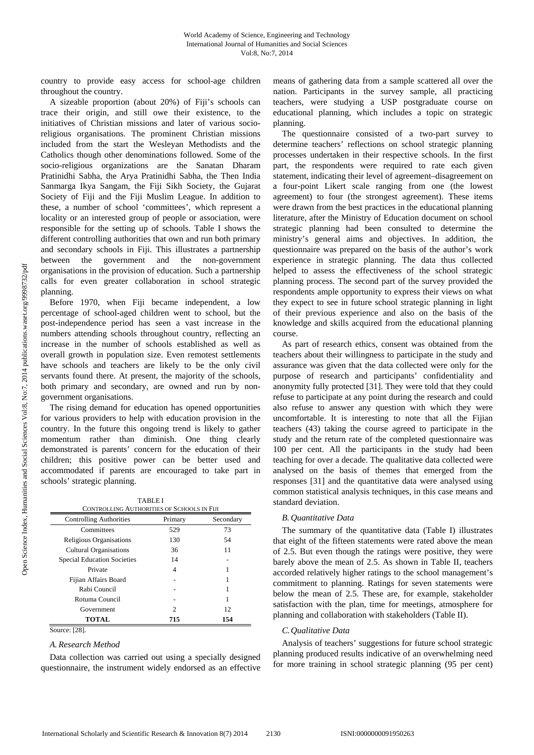country to provide easy access for school-age children throughout the country.

A sizeable proportion (about 20%) of Fiji's schools can trace their origin, and still owe their existence, to the initiatives of Christian missions and later of various socioreligious organisations. The prominent Christian missions included from the start the Wesleyan Methodists and the Catholics though other denominations followed. Some of the socio-religious organizations are the Sanatan Dharam Pratinidhi Sabha, the Arya Pratinidhi Sabha, the Then India Sanmarga Ikya Sangam, the Fiji Sikh Society, the Gujarat Society of Fiji and the Fiji Muslim League. In addition to these, a number of school 'committees', which represent a locality or an interested group of people or association, were responsible for the setting up of schools. Table I shows the different controlling authorities that own and run both primary and secondary schools in Fiji. This illustrates a partnership between the government and the non-government organisations in the provision of education. Such a partnership calls for even greater collaboration in school strategic planning.

Before 1970, when Fiji became independent, a low percentage of school-aged children went to school, but the post-independence period has seen a vast increase in the numbers attending schools throughout country, reflecting an increase in the number of schools established as well as overall growth in population size. Even remotest settlements have schools and teachers are likely to be the only civil servants found there. At present, the majority of the schools, both primary and secondary, are owned and run by nongovernment organisations.

The rising demand for education has opened opportunities for various providers to help with education provision in the country. In the future this ongoing trend is likely to gather momentum rather than diminish. One thing clearly demonstrated is parents' concern for the education of their children; this positive power can be better used and accommodated if parents are encouraged to take part in schools' strategic planning.

| <b>CONTROLLING AUTHORITIES OF SCHOOLS IN FIJI</b> |         |           |  |
|---------------------------------------------------|---------|-----------|--|
| <b>Controlling Authorities</b>                    | Primary | Secondary |  |
| Committees                                        | 529     | 73        |  |
| Religious Organisations                           | 130     | 54        |  |
| Cultural Organisations                            | 36      | 11        |  |
| <b>Special Education Societies</b>                | 14      |           |  |
| Private                                           | 4       |           |  |
| Fijian Affairs Board                              |         |           |  |
| Rabi Council                                      |         |           |  |
| Rotuma Council                                    |         |           |  |
| Government                                        | 2       | 12        |  |
| <b>TOTAL</b>                                      | 715     | 154       |  |

Source: [28].

# *A. Research Method*

Data collection was carried out using a specially designed questionnaire, the instrument widely endorsed as an effective means of gathering data from a sample scattered all over the nation. Participants in the survey sample, all practicing teachers, were studying a USP postgraduate course on educational planning, which includes a topic on strategic planning.

The questionnaire consisted of a two-part survey to determine teachers' reflections on school strategic planning processes undertaken in their respective schools. In the first part, the respondents were required to rate each given statement, indicating their level of agreement–disagreement on a four-point Likert scale ranging from one (the lowest agreement) to four (the strongest agreement). These items were drawn from the best practices in the educational planning literature, after the Ministry of Education document on school strategic planning had been consulted to determine the ministry's general aims and objectives. In addition, the questionnaire was prepared on the basis of the author's work experience in strategic planning. The data thus collected helped to assess the effectiveness of the school strategic planning process. The second part of the survey provided the respondents ample opportunity to express their views on what they expect to see in future school strategic planning in light of their previous experience and also on the basis of the knowledge and skills acquired from the educational planning course.

As part of research ethics, consent was obtained from the teachers about their willingness to participate in the study and assurance was given that the data collected were only for the purpose of research and participants' confidentiality and anonymity fully protected [31]. They were told that they could refuse to participate at any point during the research and could also refuse to answer any question with which they were uncomfortable. It is interesting to note that all the Fijian teachers (43) taking the course agreed to participate in the study and the return rate of the completed questionnaire was 100 per cent. All the participants in the study had been teaching for over a decade. The qualitative data collected were analysed on the basis of themes that emerged from the responses [31] and the quantitative data were analysed using common statistical analysis techniques, in this case means and standard deviation.

## *B. Quantitative Data*

The summary of the quantitative data (Table I) illustrates that eight of the fifteen statements were rated above the mean of 2.5. But even though the ratings were positive, they were barely above the mean of 2.5. As shown in Table II, teachers accorded relatively higher ratings to the school management's commitment to planning. Ratings for seven statements were below the mean of 2.5. These are, for example, stakeholder satisfaction with the plan, time for meetings, atmosphere for planning and collaboration with stakeholders (Table II).

## *C.Qualitative Data*

Analysis of teachers' suggestions for future school strategic planning produced results indicative of an overwhelming need for more training in school strategic planning (95 per cent)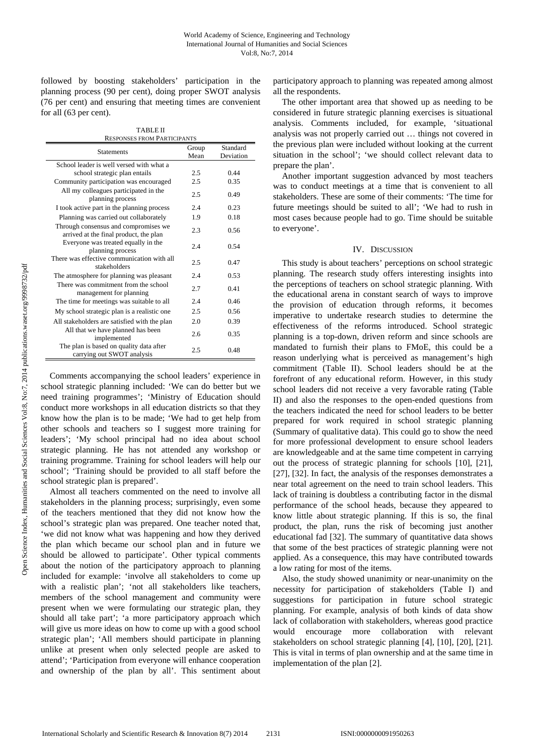followed by boosting stakeholders' participation in the planning process (90 per cent), doing proper SWOT analysis (76 per cent) and ensuring that meeting times are convenient for all (63 per cent).

| <b>TABLE II</b>                    |
|------------------------------------|
| <b>RESPONSES FROM PARTICIPANTS</b> |

| <b>Statements</b>                                                              | Group | Standard  |
|--------------------------------------------------------------------------------|-------|-----------|
|                                                                                | Mean  | Deviation |
| School leader is well versed with what a                                       |       |           |
| school strategic plan entails                                                  | 2.5   | 0.44      |
| Community participation was encouraged                                         | 2.5   | 0.35      |
| All my colleagues participated in the<br>planning process                      | 2.5   | 0.49      |
| I took active part in the planning process                                     | 2.4   | 0.23      |
| Planning was carried out collaborately                                         | 1.9   | 0.18      |
| Through consensus and compromises we<br>arrived at the final product, the plan | 2.3   | 0.56      |
| Everyone was treated equally in the<br>planning process                        | 2.4   | 0.54      |
| There was effective communication with all<br>stakeholders                     | 2.5   | 0.47      |
| The atmosphere for planning was pleasant                                       | 2.4   | 0.53      |
| There was commitment from the school<br>management for planning                | 2.7   | 0.41      |
| The time for meetings was suitable to all                                      | 2.4   | 0.46      |
| My school strategic plan is a realistic one                                    | 2.5   | 0.56      |
| All stakeholders are satisfied with the plan                                   | 2.0   | 0.39      |
| All that we have planned has been<br>implemented                               | 2.6   | 0.35      |
| The plan is based on quality data after<br>carrying out SWOT analysis          | 2.5   | 0.48      |

Comments accompanying the school leaders' experience in school strategic planning included: 'We can do better but we need training programmes'; 'Ministry of Education should conduct more workshops in all education districts so that they know how the plan is to be made; 'We had to get help from other schools and teachers so I suggest more training for leaders'; 'My school principal had no idea about school strategic planning. He has not attended any workshop or training programme. Training for school leaders will help our school'; 'Training should be provided to all staff before the school strategic plan is prepared'.

Almost all teachers commented on the need to involve all stakeholders in the planning process; surprisingly, even some of the teachers mentioned that they did not know how the school's strategic plan was prepared. One teacher noted that, 'we did not know what was happening and how they derived the plan which became our school plan and in future we should be allowed to participate'. Other typical comments about the notion of the participatory approach to planning included for example: 'involve all stakeholders to come up with a realistic plan'; 'not all stakeholders like teachers, members of the school management and community were present when we were formulating our strategic plan, they should all take part'; 'a more participatory approach which will give us more ideas on how to come up with a good school strategic plan'; 'All members should participate in planning unlike at present when only selected people are asked to attend'; 'Participation from everyone will enhance cooperation and ownership of the plan by all'. This sentiment about participatory approach to planning was repeated among almost all the respondents.

The other important area that showed up as needing to be considered in future strategic planning exercises is situational analysis. Comments included, for example, 'situational analysis was not properly carried out … things not covered in the previous plan were included without looking at the current situation in the school'; 'we should collect relevant data to prepare the plan'.

Another important suggestion advanced by most teachers was to conduct meetings at a time that is convenient to all stakeholders. These are some of their comments: 'The time for future meetings should be suited to all'; 'We had to rush in most cases because people had to go. Time should be suitable to everyone'.

## IV. DISCUSSION

This study is about teachers' perceptions on school strategic planning. The research study offers interesting insights into the perceptions of teachers on school strategic planning. With the educational arena in constant search of ways to improve the provision of education through reforms, it becomes imperative to undertake research studies to determine the effectiveness of the reforms introduced. School strategic planning is a top-down, driven reform and since schools are mandated to furnish their plans to FMoE, this could be a reason underlying what is perceived as management's high commitment (Table II). School leaders should be at the forefront of any educational reform. However, in this study school leaders did not receive a very favorable rating (Table II) and also the responses to the open-ended questions from the teachers indicated the need for school leaders to be better prepared for work required in school strategic planning (Summary of qualitative data). This could go to show the need for more professional development to ensure school leaders are knowledgeable and at the same time competent in carrying out the process of strategic planning for schools [10], [21], [27], [32]. In fact, the analysis of the responses demonstrates a near total agreement on the need to train school leaders. This lack of training is doubtless a contributing factor in the dismal performance of the school heads, because they appeared to know little about strategic planning. If this is so, the final product, the plan, runs the risk of becoming just another educational fad [32]. The summary of quantitative data shows that some of the best practices of strategic planning were not applied. As a consequence, this may have contributed towards a low rating for most of the items.

Also, the study showed unanimity or near-unanimity on the necessity for participation of stakeholders (Table I) and suggestions for participation in future school strategic planning. For example, analysis of both kinds of data show lack of collaboration with stakeholders, whereas good practice would encourage more collaboration with relevant stakeholders on school strategic planning [4], [10], [20], [21]. This is vital in terms of plan ownership and at the same time in implementation of the plan [2].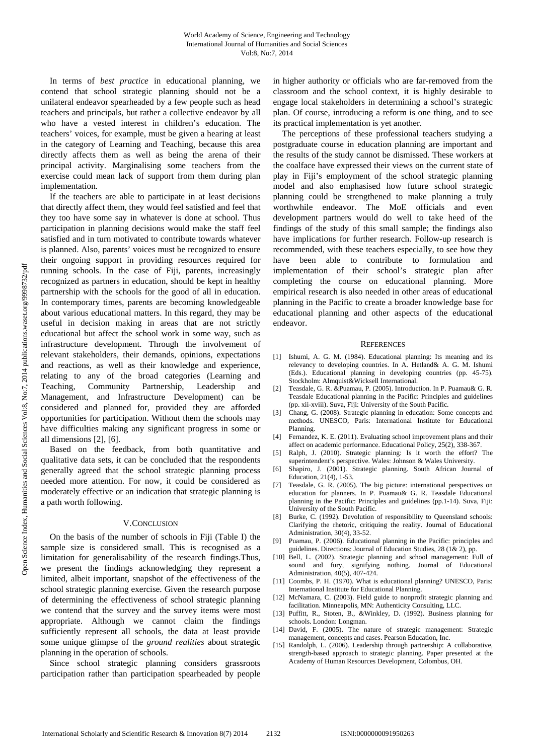In terms of *best practice* in educational planning, we contend that school strategic planning should not be a unilateral endeavor spearheaded by a few people such as head teachers and principals, but rather a collective endeavor by all who have a vested interest in children's education. The teachers' voices, for example, must be given a hearing at least in the category of Learning and Teaching, because this area directly affects them as well as being the arena of their principal activity. Marginalising some teachers from the exercise could mean lack of support from them during plan implementation.

If the teachers are able to participate in at least decisions that directly affect them, they would feel satisfied and feel that they too have some say in whatever is done at school. Thus participation in planning decisions would make the staff feel satisfied and in turn motivated to contribute towards whatever is planned. Also, parents' voices must be recognized to ensure their ongoing support in providing resources required for running schools. In the case of Fiji, parents, increasingly recognized as partners in education, should be kept in healthy partnership with the schools for the good of all in education. In contemporary times, parents are becoming knowledgeable about various educational matters. In this regard, they may be useful in decision making in areas that are not strictly educational but affect the school work in some way, such as infrastructure development. Through the involvement of relevant stakeholders, their demands, opinions, expectations and reactions, as well as their knowledge and experience, relating to any of the broad categories (Learning and Teaching, Community Partnership, Leadership and Management, and Infrastructure Development) can be considered and planned for, provided they are afforded opportunities for participation. Without them the schools may have difficulties making any significant progress in some or all dimensions [2], [6].

Based on the feedback, from both quantitative and qualitative data sets, it can be concluded that the respondents generally agreed that the school strategic planning process needed more attention. For now, it could be considered as moderately effective or an indication that strategic planning is a path worth following.

## V.CONCLUSION

On the basis of the number of schools in Fiji (Table I) the sample size is considered small. This is recognised as a limitation for generalisability of the research findings.Thus, we present the findings acknowledging they represent a limited, albeit important, snapshot of the effectiveness of the school strategic planning exercise. Given the research purpose of determining the effectiveness of school strategic planning we contend that the survey and the survey items were most appropriate. Although we cannot claim the findings sufficiently represent all schools, the data at least provide some unique glimpse of the *ground realities* about strategic planning in the operation of schools.

Since school strategic planning considers grassroots participation rather than participation spearheaded by people in higher authority or officials who are far-removed from the classroom and the school context, it is highly desirable to engage local stakeholders in determining a school's strategic plan. Of course, introducing a reform is one thing, and to see its practical implementation is yet another.

The perceptions of these professional teachers studying a postgraduate course in education planning are important and the results of the study cannot be dismissed. These workers at the coalface have expressed their views on the current state of play in Fiji's employment of the school strategic planning model and also emphasised how future school strategic planning could be strengthened to make planning a truly worthwhile endeavor. The MoE officials and even development partners would do well to take heed of the findings of the study of this small sample; the findings also have implications for further research. Follow-up research is recommended, with these teachers especially, to see how they have been able to contribute to formulation and implementation of their school's strategic plan after completing the course on educational planning. More empirical research is also needed in other areas of educational planning in the Pacific to create a broader knowledge base for educational planning and other aspects of the educational endeavor.

#### **REFERENCES**

- [1] Ishumi, A. G. M. (1984). Educational planning: Its meaning and its relevancy to developing countries. In A. Hetland& A. G. M. Ishumi (Eds.). Educational planning in developing countries (pp. 45-75). Stockholm: Almquist&Wicksell International.
- [2] Teasdale, G. R. &Puamau, P. (2005). Introduction. In P. Puamau& G. R. Teasdale Educational planning in the Pacific: Principles and guidelines (pp. xii-xviii). Suva, Fiji: University of the South Pacific.
- [3] Chang, G. (2008). Strategic planning in education: Some concepts and methods. UNESCO, Paris: International Institute for Educational Planning.
- [4] Fernandez, K. E. (2011). Evaluating school improvement plans and their affect on academic performance. Educational Policy, 25(2), 338-367.
- [5] Ralph, J. (2010). Strategic planning: Is it worth the effort? The superintendent's perspective. Wales: Johnson & Wales University.
- [6] Shapiro, J. (2001). Strategic planning. South African Journal of Education, 21(4), 1-53.
- [7] Teasdale, G. R. (2005). The big picture: international perspectives on education for planners. In P. Puamau& G. R. Teasdale Educational planning in the Pacific: Principles and guidelines (pp.1-14). Suva, Fiji: University of the South Pacific.
- [8] Burke, C. (1992). Devolution of responsibility to Queensland schools: Clarifying the rhetoric, critiquing the reality. Journal of Educational Administration, 30(4), 33-52.
- Puamau, P. (2006). Educational planning in the Pacific: principles and guidelines. Directions: Journal of Education Studies, 28 (1& 2), pp.
- [10] Bell, L. (2002). Strategic planning and school management: Full of sound and fury, signifying nothing. Journal of Educational Administration, 40(5), 407-424.
- [11] Coombs, P. H. (1970). What is educational planning? UNESCO, Paris: International Institute for Educational Planning.
- [12] McNamara, C. (2003). Field guide to nonprofit strategic planning and facilitation. Minneapolis, MN: Authenticity Consulting, LLC.
- [13] Puffitt, R., Stoten, B., &Winkley, D. (1992). Business planning for schools. London: Longman.
- [14] David, F. (2005). The nature of strategic management: Strategic management, concepts and cases. Pearson Education, Inc.
- [15] Randolph, L. (2006). Leadership through partnership: A collaborative, strength-based approach to strategic planning. Paper presented at the Academy of Human Resources Development, Colombus, OH.